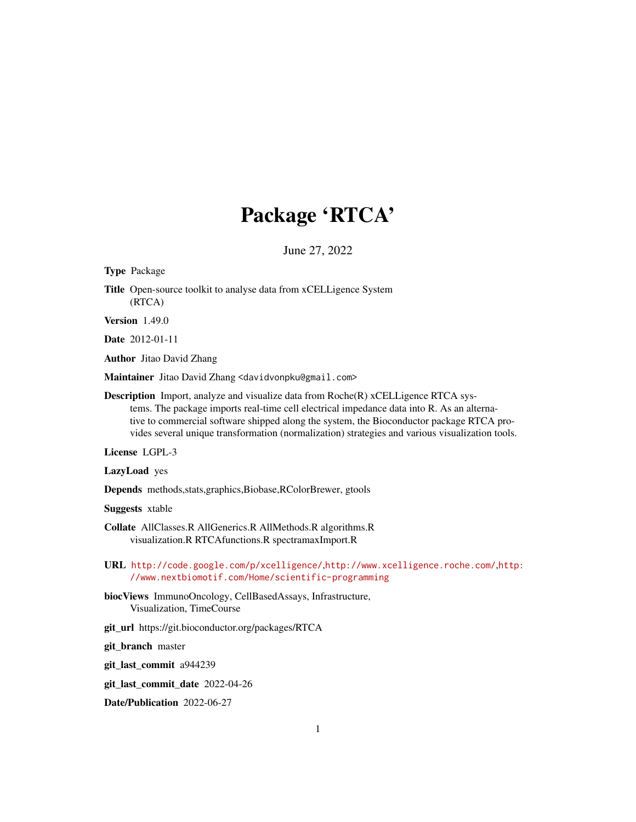# Package 'RTCA'

June 27, 2022

<span id="page-0-0"></span>Type Package

Title Open-source toolkit to analyse data from xCELLigence System (RTCA)

Version 1.49.0

Date 2012-01-11

Author Jitao David Zhang

Maintainer Jitao David Zhang <davidvonpku@gmail.com>

Description Import, analyze and visualize data from Roche(R) xCELLigence RTCA systems. The package imports real-time cell electrical impedance data into R. As an alternative to commercial software shipped along the system, the Bioconductor package RTCA provides several unique transformation (normalization) strategies and various visualization tools.

License LGPL-3

LazyLoad yes

Depends methods,stats,graphics,Biobase,RColorBrewer, gtools

Suggests xtable

Collate AllClasses.R AllGenerics.R AllMethods.R algorithms.R visualization.R RTCAfunctions.R spectramaxImport.R

- URL <http://code.google.com/p/xcelligence/>,<http://www.xcelligence.roche.com/>,[http:](http://www.nextbiomotif.com/Home/scientific-programming) [//www.nextbiomotif.com/Home/scientific-programming](http://www.nextbiomotif.com/Home/scientific-programming)
- biocViews ImmunoOncology, CellBasedAssays, Infrastructure, Visualization, TimeCourse
- git\_url https://git.bioconductor.org/packages/RTCA

git\_branch master

git\_last\_commit a944239

git\_last\_commit\_date 2022-04-26

Date/Publication 2022-06-27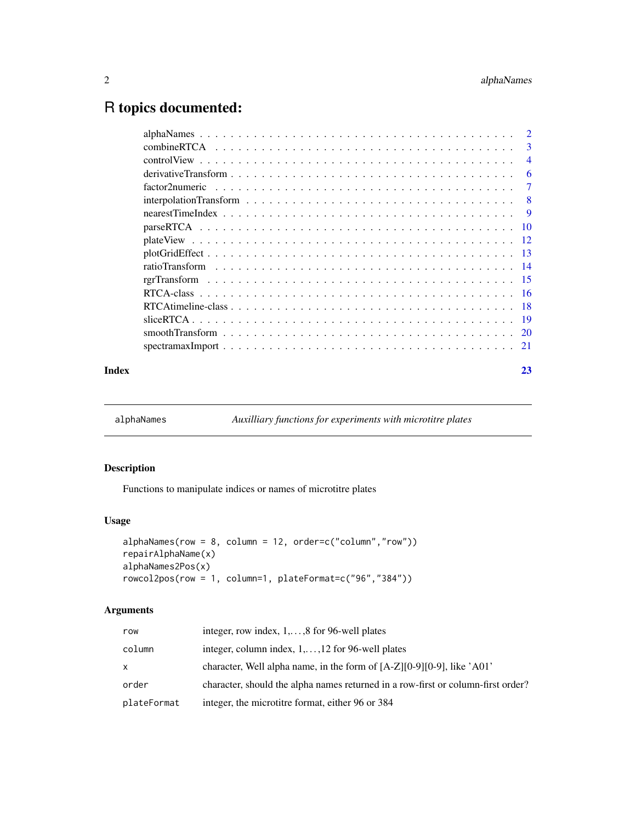## <span id="page-1-0"></span>R topics documented:

|       |                                                                                                                   | -3             |
|-------|-------------------------------------------------------------------------------------------------------------------|----------------|
|       |                                                                                                                   | $\overline{4}$ |
|       | derivative Transform $\ldots \ldots \ldots \ldots \ldots \ldots \ldots \ldots \ldots \ldots \ldots \ldots \ldots$ | 6              |
|       | $factor2$ numeric $\ldots \ldots \ldots \ldots \ldots \ldots \ldots \ldots \ldots \ldots \ldots \ldots \ldots$    | 7              |
|       |                                                                                                                   |                |
|       |                                                                                                                   |                |
|       |                                                                                                                   |                |
|       |                                                                                                                   |                |
|       |                                                                                                                   |                |
|       |                                                                                                                   |                |
|       |                                                                                                                   |                |
|       |                                                                                                                   |                |
|       |                                                                                                                   |                |
|       |                                                                                                                   |                |
|       |                                                                                                                   |                |
|       |                                                                                                                   |                |
| Index |                                                                                                                   | 23             |

alphaNames *Auxilliary functions for experiments with microtitre plates*

## Description

Functions to manipulate indices or names of microtitre plates

## Usage

```
alphaNames(row = 8, column = 12, order=c("column","row"))
repairAlphaName(x)
alphaNames2Pos(x)
rowcol2pos(row = 1, column=1, plateFormat=c("96","384"))
```
## Arguments

| row         | integer, row index, $1, \ldots, 8$ for 96-well plates                            |
|-------------|----------------------------------------------------------------------------------|
| column      | integer, column index, $1, \ldots, 12$ for 96-well plates                        |
| x           | character, Well alpha name, in the form of $[A-Z][0-9][0-9]$ , like $'A01'$      |
| order       | character, should the alpha names returned in a row-first or column-first order? |
| plateFormat | integer, the microtitre format, either 96 or 384                                 |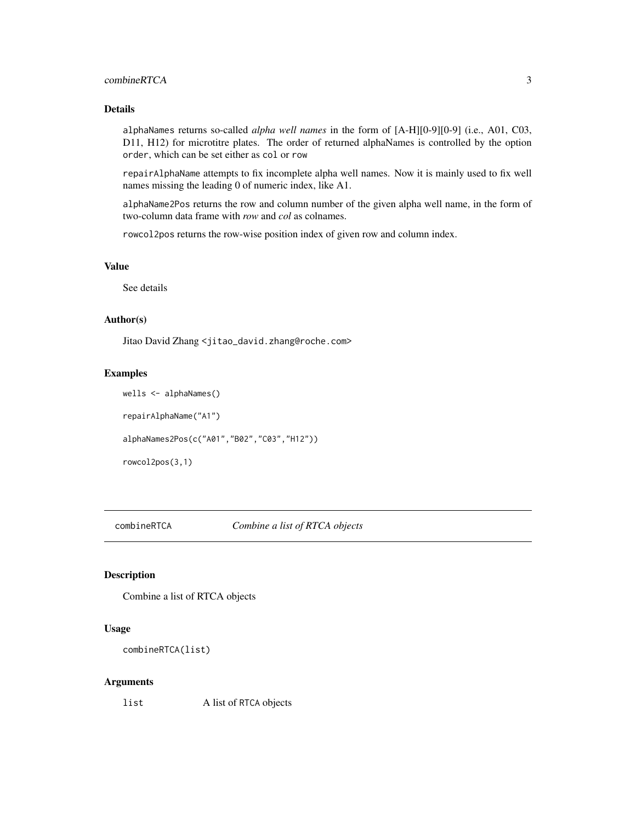## <span id="page-2-0"></span>combineRTCA 3

#### Details

alphaNames returns so-called *alpha well names* in the form of [A-H][0-9][0-9] (i.e., A01, C03, D11, H12) for microtitre plates. The order of returned alphaNames is controlled by the option order, which can be set either as col or row

repairAlphaName attempts to fix incomplete alpha well names. Now it is mainly used to fix well names missing the leading 0 of numeric index, like A1.

alphaName2Pos returns the row and column number of the given alpha well name, in the form of two-column data frame with *row* and *col* as colnames.

rowcol2pos returns the row-wise position index of given row and column index.

## Value

See details

## Author(s)

Jitao David Zhang <jitao\_david.zhang@roche.com>

#### Examples

wells <- alphaNames()

repairAlphaName("A1")

alphaNames2Pos(c("A01","B02","C03","H12"))

rowcol2pos(3,1)

combineRTCA *Combine a list of RTCA objects*

## Description

Combine a list of RTCA objects

#### Usage

```
combineRTCA(list)
```
#### Arguments

list A list of RTCA objects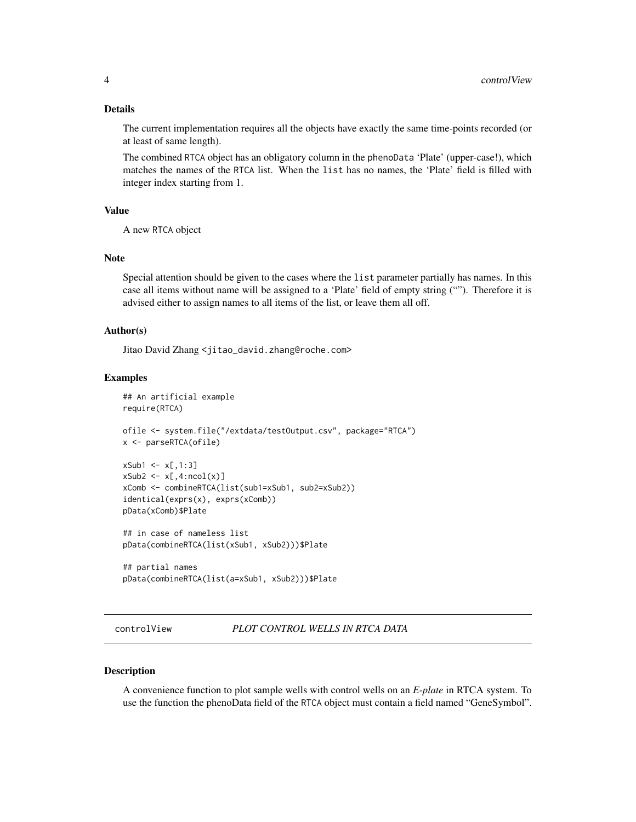#### <span id="page-3-0"></span>Details

The current implementation requires all the objects have exactly the same time-points recorded (or at least of same length).

The combined RTCA object has an obligatory column in the phenoData 'Plate' (upper-case!), which matches the names of the RTCA list. When the list has no names, the 'Plate' field is filled with integer index starting from 1.

#### Value

A new RTCA object

#### Note

Special attention should be given to the cases where the list parameter partially has names. In this case all items without name will be assigned to a 'Plate' field of empty string (""). Therefore it is advised either to assign names to all items of the list, or leave them all off.

#### Author(s)

Jitao David Zhang <jitao\_david.zhang@roche.com>

#### Examples

```
## An artificial example
require(RTCA)
ofile <- system.file("/extdata/testOutput.csv", package="RTCA")
x <- parseRTCA(ofile)
xSub1 \leftarrow x[, 1:3]xSub2 \leftarrow x[, 4:ncol(x)]xComb <- combineRTCA(list(sub1=xSub1, sub2=xSub2))
identical(exprs(x), exprs(xComb))
pData(xComb)$Plate
## in case of nameless list
pData(combineRTCA(list(xSub1, xSub2)))$Plate
## partial names
pData(combineRTCA(list(a=xSub1, xSub2)))$Plate
```
## controlView *PLOT CONTROL WELLS IN RTCA DATA*

#### Description

A convenience function to plot sample wells with control wells on an *E-plate* in RTCA system. To use the function the phenoData field of the RTCA object must contain a field named "GeneSymbol".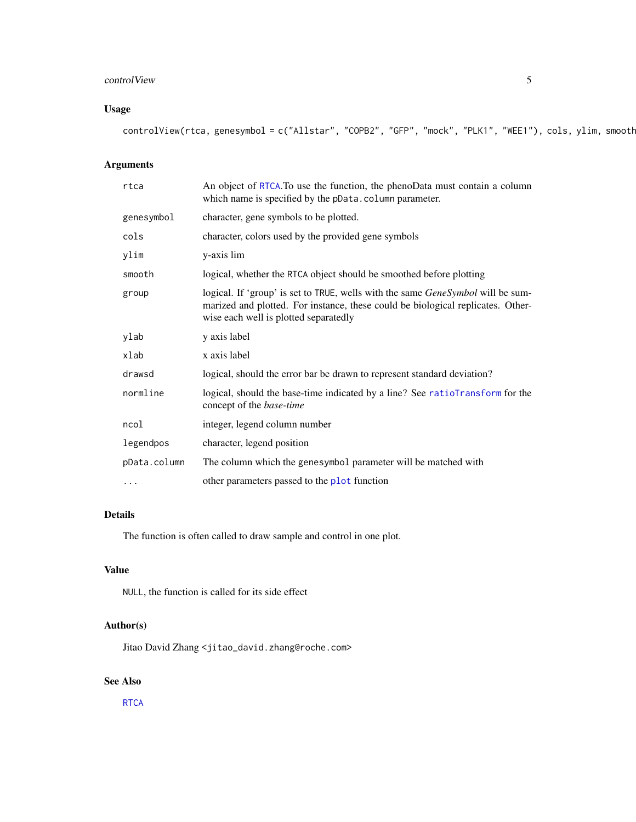## <span id="page-4-0"></span>control View 5

## Usage

controlView(rtca, genesymbol = c("Allstar", "COPB2", "GFP", "mock", "PLK1", "WEE1"), cols, ylim, smooth

## Arguments

| rtca         | An object of RTCA. To use the function, the phenoData must contain a column<br>which name is specified by the pData.column parameter.                                                                       |
|--------------|-------------------------------------------------------------------------------------------------------------------------------------------------------------------------------------------------------------|
| genesymbol   | character, gene symbols to be plotted.                                                                                                                                                                      |
| cols         | character, colors used by the provided gene symbols                                                                                                                                                         |
| ylim         | y-axis lim                                                                                                                                                                                                  |
| smooth       | logical, whether the RTCA object should be smoothed before plotting                                                                                                                                         |
| group        | logical. If 'group' is set to TRUE, wells with the same GeneSymbol will be sum-<br>marized and plotted. For instance, these could be biological replicates. Other-<br>wise each well is plotted separatedly |
| ylab         | y axis label                                                                                                                                                                                                |
| xlab         | x axis label                                                                                                                                                                                                |
| drawsd       | logical, should the error bar be drawn to represent standard deviation?                                                                                                                                     |
| normline     | logical, should the base-time indicated by a line? See ratioTransform for the<br>concept of the <i>base-time</i>                                                                                            |
| ncol         | integer, legend column number                                                                                                                                                                               |
| legendpos    | character, legend position                                                                                                                                                                                  |
| pData.column | The column which the genesymbol parameter will be matched with                                                                                                                                              |
| $\ddotsc$    | other parameters passed to the plot function                                                                                                                                                                |

## Details

The function is often called to draw sample and control in one plot.

## Value

NULL, the function is called for its side effect

## Author(s)

Jitao David Zhang <jitao\_david.zhang@roche.com>

## See Also

**[RTCA](#page-15-1)**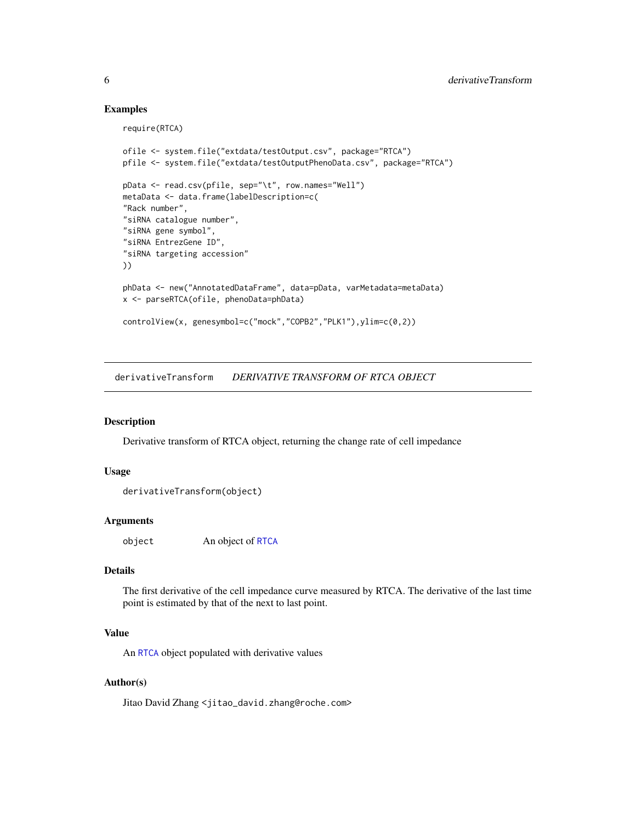## Examples

require(RTCA)

```
ofile <- system.file("extdata/testOutput.csv", package="RTCA")
pfile <- system.file("extdata/testOutputPhenoData.csv", package="RTCA")
pData <- read.csv(pfile, sep="\t", row.names="Well")
metaData <- data.frame(labelDescription=c(
"Rack number",
"siRNA catalogue number",
"siRNA gene symbol",
"siRNA EntrezGene ID",
"siRNA targeting accession"
))
phData <- new("AnnotatedDataFrame", data=pData, varMetadata=metaData)
x <- parseRTCA(ofile, phenoData=phData)
controlView(x, genesymbol=c("mock","COPB2","PLK1"),ylim=c(0,2))
```
<span id="page-5-1"></span>derivativeTransform *DERIVATIVE TRANSFORM OF RTCA OBJECT*

## Description

Derivative transform of RTCA object, returning the change rate of cell impedance

#### Usage

```
derivativeTransform(object)
```
#### Arguments

object An object of [RTCA](#page-15-1)

## Details

The first derivative of the cell impedance curve measured by RTCA. The derivative of the last time point is estimated by that of the next to last point.

## Value

An [RTCA](#page-15-1) object populated with derivative values

## Author(s)

<span id="page-5-0"></span>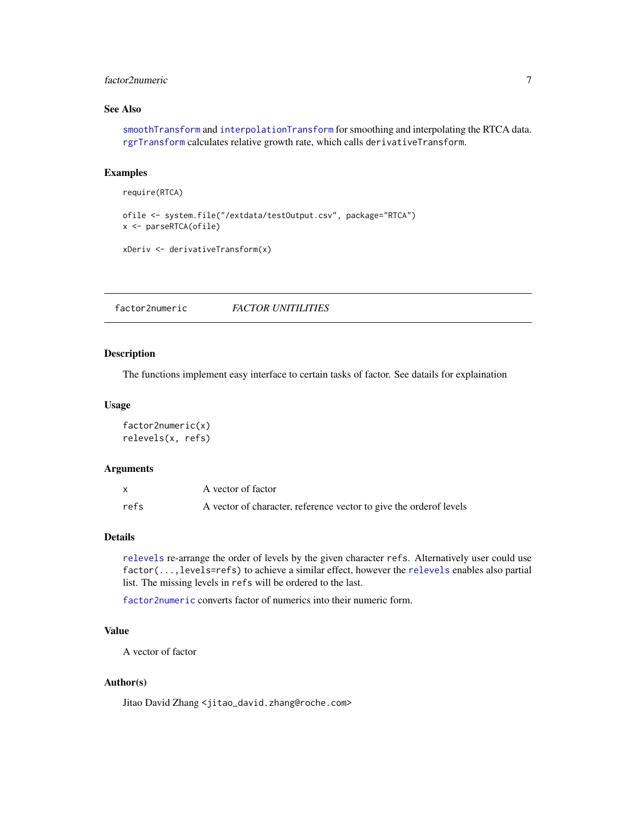## <span id="page-6-0"></span>factor2numeric 7

## See Also

[smoothTransform](#page-19-1) and [interpolationTransform](#page-7-1) for smoothing and interpolating the RTCA data. [rgrTransform](#page-14-1) calculates relative growth rate, which calls derivativeTransform.

#### Examples

```
require(RTCA)
```

```
ofile <- system.file("/extdata/testOutput.csv", package="RTCA")
x <- parseRTCA(ofile)
```

```
xDeriv <- derivativeTransform(x)
```
<span id="page-6-2"></span>factor2numeric *FACTOR UNITILITIES*

## <span id="page-6-1"></span>Description

The functions implement easy interface to certain tasks of factor. See datails for explaination

#### Usage

```
factor2numeric(x)
relevels(x, refs)
```
#### Arguments

|      | A vector of factor                                                  |
|------|---------------------------------------------------------------------|
| refs | A vector of character, reference vector to give the order of levels |

## Details

[relevels](#page-6-1) re-arrange the order of levels by the given character refs. Alternatively user could use factor(...,levels=refs) to achieve a similar effect, however the [relevels](#page-6-1) enables also partial list. The missing levels in refs will be ordered to the last.

[factor2numeric](#page-6-2) converts factor of numerics into their numeric form.

## Value

A vector of factor

#### Author(s)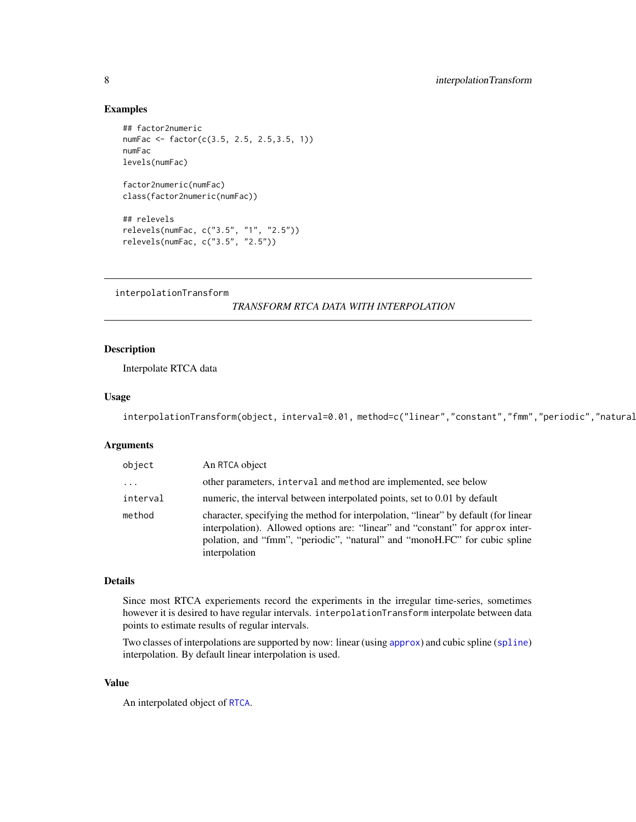#### Examples

```
## factor2numeric
numFac <- factor(c(3.5, 2.5, 2.5,3.5, 1))
numFac
levels(numFac)
factor2numeric(numFac)
class(factor2numeric(numFac))
## relevels
relevels(numFac, c("3.5", "1", "2.5"))
relevels(numFac, c("3.5", "2.5"))
```
<span id="page-7-1"></span>interpolationTransform

*TRANSFORM RTCA DATA WITH INTERPOLATION*

## Description

Interpolate RTCA data

#### Usage

interpolationTransform(object, interval=0.01, method=c("linear","constant","fmm","periodic","natural

## Arguments

| object   | An RTCA object                                                                                                                                                                                                                                                       |
|----------|----------------------------------------------------------------------------------------------------------------------------------------------------------------------------------------------------------------------------------------------------------------------|
| $\ddots$ | other parameters, interval and method are implemented, see below                                                                                                                                                                                                     |
| interval | numeric, the interval between interpolated points, set to 0.01 by default                                                                                                                                                                                            |
| method   | character, specifying the method for interpolation, "linear" by default (for linear<br>interpolation). Allowed options are: "linear" and "constant" for approx inter-<br>polation, and "fmm", "periodic", "natural" and "monoH.FC" for cubic spline<br>interpolation |

## Details

Since most RTCA experiements record the experiments in the irregular time-series, sometimes however it is desired to have regular intervals. interpolationTransform interpolate between data points to estimate results of regular intervals.

Two classes of interpolations are supported by now: linear (using [approx](#page-0-0)) and cubic spline ([spline](#page-0-0)) interpolation. By default linear interpolation is used.

## Value

An interpolated object of [RTCA](#page-15-1).

<span id="page-7-0"></span>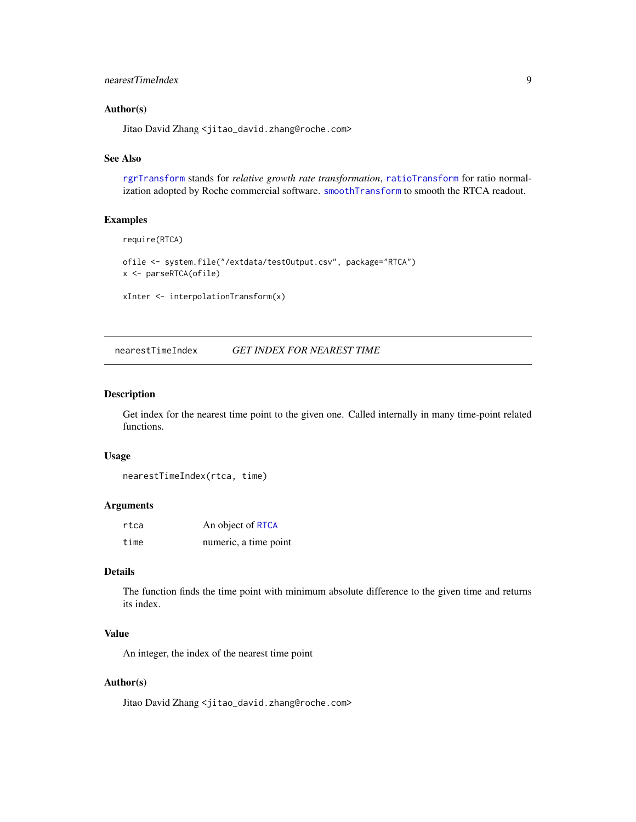## <span id="page-8-0"></span>nearestTimeIndex 9

#### Author(s)

Jitao David Zhang <jitao\_david.zhang@roche.com>

#### See Also

[rgrTransform](#page-14-1) stands for *relative growth rate transformation*, [ratioTransform](#page-13-1) for ratio normalization adopted by Roche commercial software. [smoothTransform](#page-19-1) to smooth the RTCA readout.

#### Examples

```
require(RTCA)
```

```
ofile <- system.file("/extdata/testOutput.csv", package="RTCA")
x <- parseRTCA(ofile)
```

```
xInter <- interpolationTransform(x)
```
nearestTimeIndex *GET INDEX FOR NEAREST TIME*

## Description

Get index for the nearest time point to the given one. Called internally in many time-point related functions.

#### Usage

```
nearestTimeIndex(rtca, time)
```
## Arguments

| rtca | An object of RTCA     |
|------|-----------------------|
| time | numeric, a time point |

## Details

The function finds the time point with minimum absolute difference to the given time and returns its index.

## Value

An integer, the index of the nearest time point

### Author(s)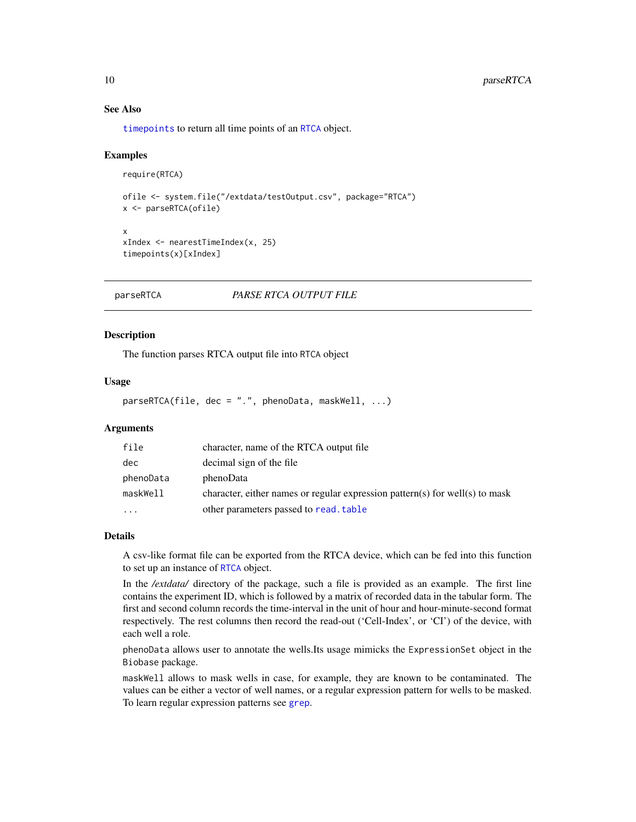## See Also

[timepoints](#page-15-2) to return all time points of an [RTCA](#page-15-1) object.

#### Examples

```
require(RTCA)
```

```
ofile <- system.file("/extdata/testOutput.csv", package="RTCA")
x <- parseRTCA(ofile)
x
```

```
xIndex <- nearestTimeIndex(x, 25)
timepoints(x)[xIndex]
```
<span id="page-9-1"></span>parseRTCA *PARSE RTCA OUTPUT FILE*

#### Description

The function parses RTCA output file into RTCA object

#### Usage

parseRTCA(file, dec = ".", phenoData, maskWell, ...)

## Arguments

| file      | character, name of the RTCA output file                                      |
|-----------|------------------------------------------------------------------------------|
| dec       | decimal sign of the file                                                     |
| phenoData | phenoData                                                                    |
| maskWell  | character, either names or regular expression pattern(s) for well(s) to mask |
| .         | other parameters passed to read, table                                       |

## Details

A csv-like format file can be exported from the RTCA device, which can be fed into this function to set up an instance of [RTCA](#page-15-1) object.

In the */extdata/* directory of the package, such a file is provided as an example. The first line contains the experiment ID, which is followed by a matrix of recorded data in the tabular form. The first and second column records the time-interval in the unit of hour and hour-minute-second format respectively. The rest columns then record the read-out ('Cell-Index', or 'CI') of the device, with each well a role.

phenoData allows user to annotate the wells.Its usage mimicks the ExpressionSet object in the Biobase package.

maskWell allows to mask wells in case, for example, they are known to be contaminated. The values can be either a vector of well names, or a regular expression pattern for wells to be masked. To learn regular expression patterns see [grep](#page-0-0).

<span id="page-9-0"></span>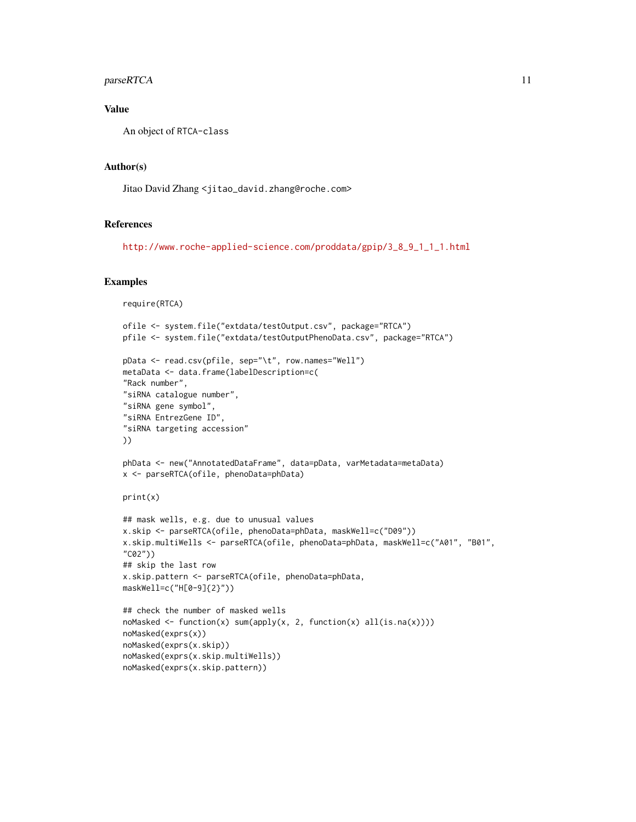## parseRTCA 11

## Value

An object of RTCA-class

#### Author(s)

Jitao David Zhang <jitao\_david.zhang@roche.com>

#### References

[http://www.roche-applied-science.com/proddata/gpip/3\\_8\\_9\\_1\\_1\\_1.html](http://www.roche-applied-science.com/proddata/gpip/3_8_9_1_1_1.html)

#### Examples

```
require(RTCA)
ofile <- system.file("extdata/testOutput.csv", package="RTCA")
pfile <- system.file("extdata/testOutputPhenoData.csv", package="RTCA")
pData <- read.csv(pfile, sep="\t", row.names="Well")
metaData <- data.frame(labelDescription=c(
"Rack number",
"siRNA catalogue number",
"siRNA gene symbol",
"siRNA EntrezGene ID",
"siRNA targeting accession"
))
phData <- new("AnnotatedDataFrame", data=pData, varMetadata=metaData)
x <- parseRTCA(ofile, phenoData=phData)
print(x)
## mask wells, e.g. due to unusual values
x.skip <- parseRTCA(ofile, phenoData=phData, maskWell=c("D09"))
x.skip.multiWells <- parseRTCA(ofile, phenoData=phData, maskWell=c("A01", "B01",
"C02"))
## skip the last row
x.skip.pattern <- parseRTCA(ofile, phenoData=phData,
maskWell=c("H[0-9]{2}"))
## check the number of masked wells
noMasked <- function(x) sum(apply(x, 2, function(x) all(is.na(x))))
noMasked(exprs(x))
noMasked(exprs(x.skip))
noMasked(exprs(x.skip.multiWells))
noMasked(exprs(x.skip.pattern))
```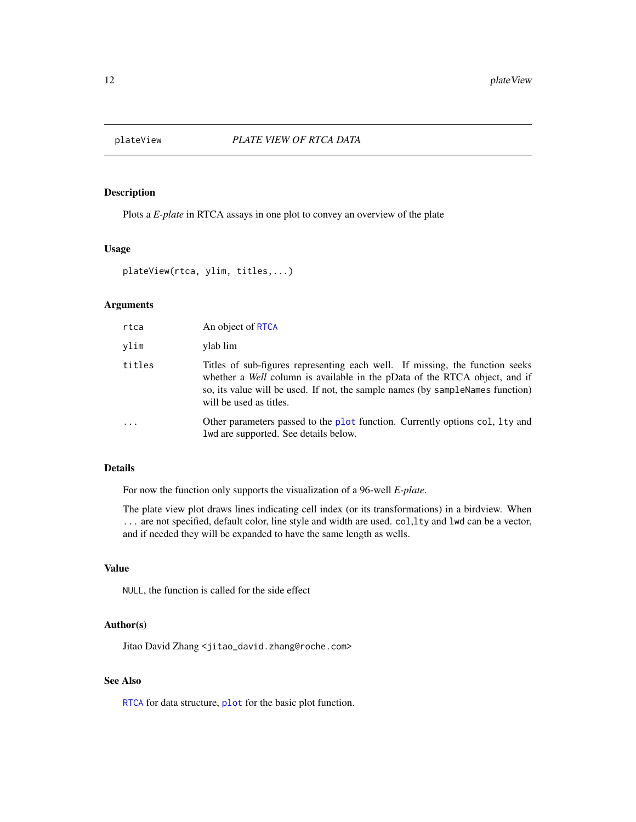<span id="page-11-0"></span>

## Description

Plots a *E-plate* in RTCA assays in one plot to convey an overview of the plate

#### Usage

```
plateView(rtca, ylim, titles,...)
```
## Arguments

| rtca     | An object of RTCA                                                                                                                                                                                                                                                       |
|----------|-------------------------------------------------------------------------------------------------------------------------------------------------------------------------------------------------------------------------------------------------------------------------|
| vlim     | ylab lim                                                                                                                                                                                                                                                                |
| titles   | Titles of sub-figures representing each well. If missing, the function seeks<br>whether a Well column is available in the pData of the RTCA object, and if<br>so, its value will be used. If not, the sample names (by sampleNames function)<br>will be used as titles. |
| $\cdots$ | Other parameters passed to the plot function. Currently options col, 1ty and<br>lwd are supported. See details below.                                                                                                                                                   |

## Details

For now the function only supports the visualization of a 96-well *E-plate*.

The plate view plot draws lines indicating cell index (or its transformations) in a birdview. When ... are not specified, default color, line style and width are used. col,lty and lwd can be a vector, and if needed they will be expanded to have the same length as wells.

## Value

NULL, the function is called for the side effect

#### Author(s)

Jitao David Zhang <jitao\_david.zhang@roche.com>

## See Also

[RTCA](#page-15-1) for data structure, [plot](#page-0-0) for the basic plot function.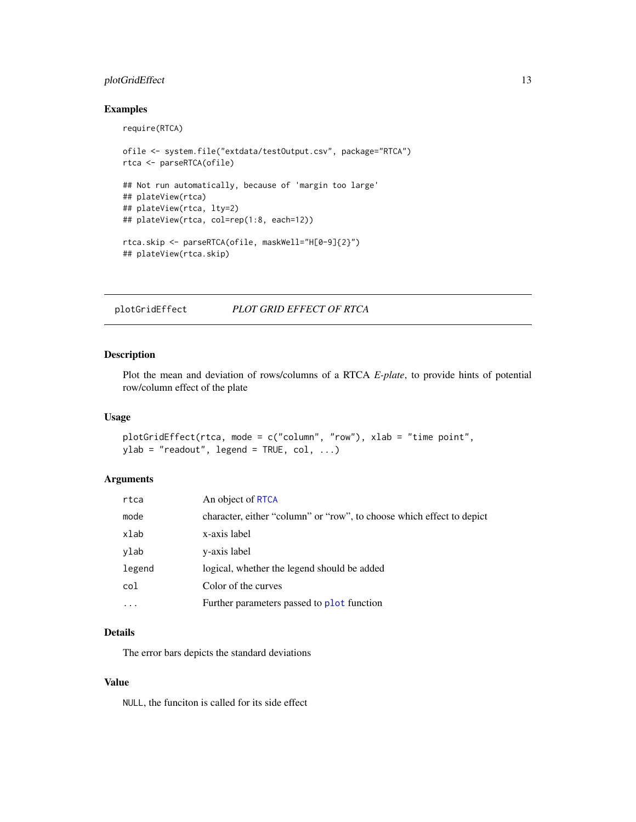## <span id="page-12-0"></span>plotGridEffect 13

#### Examples

require(RTCA)

```
ofile <- system.file("extdata/testOutput.csv", package="RTCA")
rtca <- parseRTCA(ofile)
## Not run automatically, because of 'margin too large'
## plateView(rtca)
## plateView(rtca, lty=2)
## plateView(rtca, col=rep(1:8, each=12))
rtca.skip <- parseRTCA(ofile, maskWell="H[0-9]{2}")
## plateView(rtca.skip)
```
plotGridEffect *PLOT GRID EFFECT OF RTCA*

## Description

Plot the mean and deviation of rows/columns of a RTCA *E-plate*, to provide hints of potential row/column effect of the plate

## Usage

```
plotGridEffect(rtca, mode = c("column", "row"), xlab = "time point",
ylab = "readout", legend = TRUE, col, ...)
```
## Arguments

| rtca   | An object of RTCA                                                     |
|--------|-----------------------------------------------------------------------|
| mode   | character, either "column" or "row", to choose which effect to depict |
| xlab   | x-axis label                                                          |
| ylab   | y-axis label                                                          |
| legend | logical, whether the legend should be added                           |
| col    | Color of the curves                                                   |
|        | Further parameters passed to plot function                            |

## Details

The error bars depicts the standard deviations

#### Value

NULL, the funciton is called for its side effect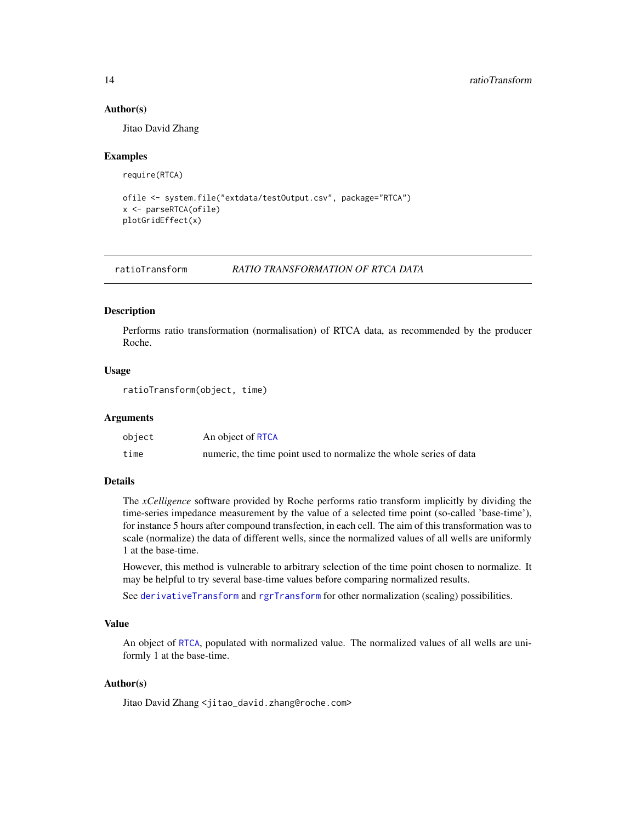#### Author(s)

Jitao David Zhang

#### Examples

require(RTCA)

```
ofile <- system.file("extdata/testOutput.csv", package="RTCA")
x <- parseRTCA(ofile)
plotGridEffect(x)
```
<span id="page-13-1"></span>ratioTransform *RATIO TRANSFORMATION OF RTCA DATA*

#### Description

Performs ratio transformation (normalisation) of RTCA data, as recommended by the producer Roche.

## Usage

ratioTransform(object, time)

#### Arguments

| object | An object of RTCA                                                  |
|--------|--------------------------------------------------------------------|
| time   | numeric, the time point used to normalize the whole series of data |

#### Details

The *xCelligence* software provided by Roche performs ratio transform implicitly by dividing the time-series impedance measurement by the value of a selected time point (so-called 'base-time'), for instance 5 hours after compound transfection, in each cell. The aim of this transformation was to scale (normalize) the data of different wells, since the normalized values of all wells are uniformly 1 at the base-time.

However, this method is vulnerable to arbitrary selection of the time point chosen to normalize. It may be helpful to try several base-time values before comparing normalized results.

See [derivativeTransform](#page-5-1) and [rgrTransform](#page-14-1) for other normalization (scaling) possibilities.

#### Value

An object of [RTCA](#page-15-1), populated with normalized value. The normalized values of all wells are uniformly 1 at the base-time.

## Author(s)

<span id="page-13-0"></span>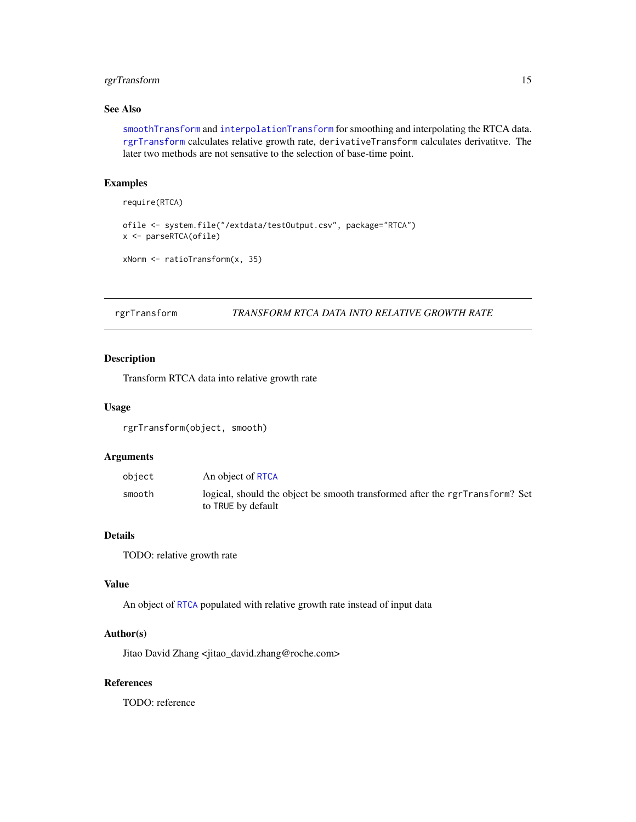## <span id="page-14-0"></span>rgrTransform 15

## See Also

[smoothTransform](#page-19-1) and [interpolationTransform](#page-7-1) for smoothing and interpolating the RTCA data. [rgrTransform](#page-14-1) calculates relative growth rate, derivativeTransform calculates derivatitve. The later two methods are not sensative to the selection of base-time point.

## Examples

```
require(RTCA)
ofile <- system.file("/extdata/testOutput.csv", package="RTCA")
x <- parseRTCA(ofile)
xNorm <- ratioTransform(x, 35)
```
<span id="page-14-1"></span>rgrTransform *TRANSFORM RTCA DATA INTO RELATIVE GROWTH RATE*

## Description

Transform RTCA data into relative growth rate

#### Usage

rgrTransform(object, smooth)

## Arguments

| object | An object of RTCA                                                                                  |
|--------|----------------------------------------------------------------------------------------------------|
| smooth | logical, should the object be smooth transformed after the rgrTransform? Set<br>to TRUE by default |

## Details

TODO: relative growth rate

#### Value

An object of [RTCA](#page-15-1) populated with relative growth rate instead of input data

## Author(s)

Jitao David Zhang <jitao\_david.zhang@roche.com>

## References

TODO: reference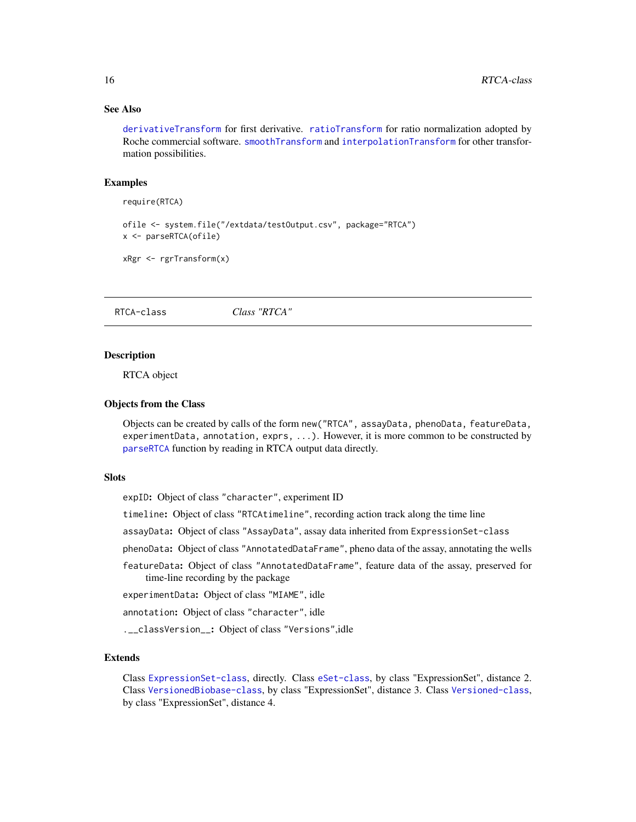## See Also

[derivativeTransform](#page-5-1) for first derivative. [ratioTransform](#page-13-1) for ratio normalization adopted by Roche commercial software. [smoothTransform](#page-19-1) and [interpolationTransform](#page-7-1) for other transformation possibilities.

#### Examples

require(RTCA)

ofile <- system.file("/extdata/testOutput.csv", package="RTCA") x <- parseRTCA(ofile)

xRgr <- rgrTransform(x)

<span id="page-15-1"></span>RTCA-class *Class "RTCA"*

#### <span id="page-15-2"></span>Description

RTCA object

#### Objects from the Class

Objects can be created by calls of the form new("RTCA", assayData, phenoData, featureData, experimentData, annotation, exprs, ...). However, it is more common to be constructed by [parseRTCA](#page-9-1) function by reading in RTCA output data directly.

#### Slots

expID: Object of class "character", experiment ID

timeline: Object of class "RTCAtimeline", recording action track along the time line

assayData: Object of class "AssayData", assay data inherited from ExpressionSet-class

phenoData: Object of class "AnnotatedDataFrame", pheno data of the assay, annotating the wells

featureData: Object of class "AnnotatedDataFrame", feature data of the assay, preserved for time-line recording by the package

experimentData: Object of class "MIAME", idle

annotation: Object of class "character", idle

.\_\_classVersion\_\_: Object of class "Versions",idle

## Extends

Class [ExpressionSet-class](#page-0-0), directly. Class [eSet-class](#page-0-0), by class "ExpressionSet", distance 2. Class [VersionedBiobase-class](#page-0-0), by class "ExpressionSet", distance 3. Class [Versioned-class](#page-0-0), by class "ExpressionSet", distance 4.

<span id="page-15-0"></span>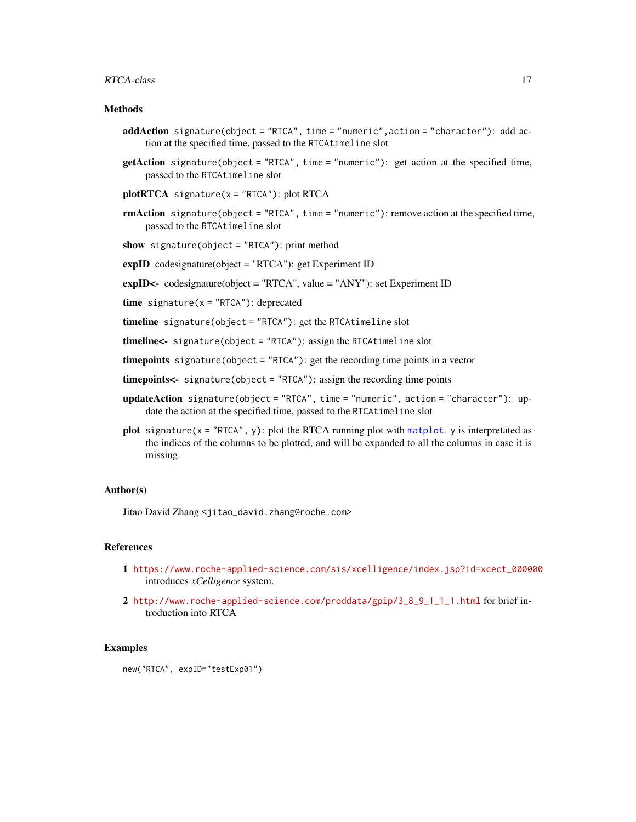#### <span id="page-16-0"></span> $RTCA-class$   $17$

## **Methods**

- addAction signature(object = "RTCA", time = "numeric",action = "character"): add action at the specified time, passed to the RTCAtimeline slot
- getAction signature(object = "RTCA", time = "numeric"): get action at the specified time, passed to the RTCAtimeline slot
- $plotRTCA$  signature(x = "RTCA"): plot RTCA
- rmAction signature(object = "RTCA", time = "numeric"): remove action at the specified time, passed to the RTCAtimeline slot
- show signature(object = "RTCA"): print method
- expID codesignature(object = "RTCA"): get Experiment ID
- expID<- codesignature(object = "RTCA", value = "ANY"): set Experiment ID
- time signature( $x = "RTCA"$ ): deprecated

timeline signature(object = "RTCA"): get the RTCAtimeline slot

timeline<- signature(object = "RTCA"): assign the RTCAtimeline slot

timepoints signature(object = "RTCA"): get the recording time points in a vector

- timepoints<- signature(object = "RTCA"): assign the recording time points
- updateAction signature(object = "RTCA", time = "numeric", action = "character"): update the action at the specified time, passed to the RTCAtimeline slot
- plot signature( $x = "RTCA", y$ ): plot the RTCA running plot with [matplot](#page-0-0). y is interpretated as the indices of the columns to be plotted, and will be expanded to all the columns in case it is missing.

#### Author(s)

Jitao David Zhang <jitao\_david.zhang@roche.com>

## References

- 1 [https://www.roche-applied-science.com/sis/xcelligence/index.jsp?id=xcect\\_000000](https://www.roche-applied-science.com/sis/xcelligence/index.jsp?id=xcect_000000) introduces *xCelligence* system.
- 2 [http://www.roche-applied-science.com/proddata/gpip/3\\_8\\_9\\_1\\_1\\_1.html](http://www.roche-applied-science.com/proddata/gpip/3_8_9_1_1_1.html) for brief introduction into RTCA

#### Examples

new("RTCA", expID="testExp01")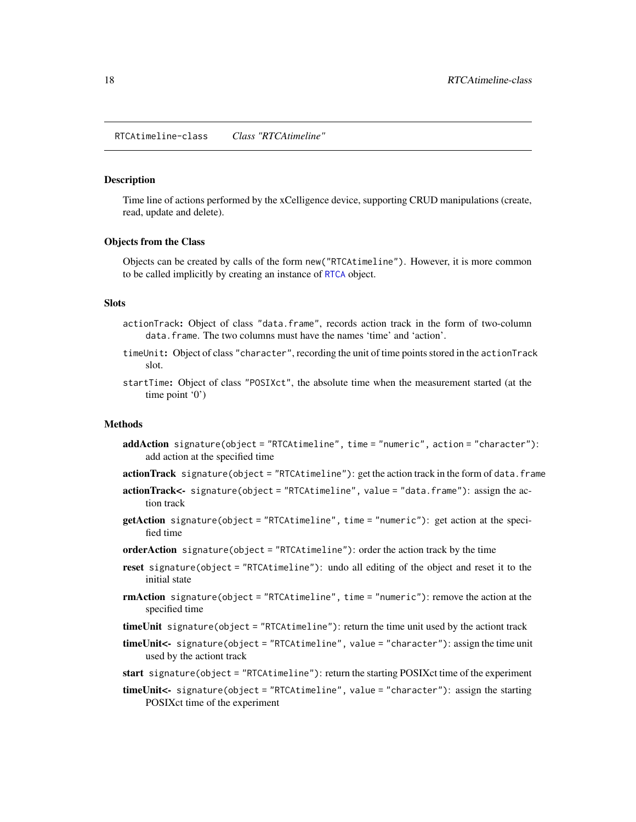<span id="page-17-0"></span>RTCAtimeline-class *Class "RTCAtimeline"*

#### Description

Time line of actions performed by the xCelligence device, supporting CRUD manipulations (create, read, update and delete).

#### Objects from the Class

Objects can be created by calls of the form new("RTCAtimeline"). However, it is more common to be called implicitly by creating an instance of [RTCA](#page-15-1) object.

#### Slots

- actionTrack: Object of class "data.frame", records action track in the form of two-column data.frame. The two columns must have the names 'time' and 'action'.
- timeUnit: Object of class "character", recording the unit of time points stored in the actionTrack slot.
- startTime: Object of class "POSIXct", the absolute time when the measurement started (at the time point '0')

#### **Methods**

- addAction signature(object = "RTCAtimeline", time = "numeric", action = "character"): add action at the specified time
- actionTrack signature(object = "RTCAtimeline"): get the action track in the form of data. frame
- actionTrack<- signature(object = "RTCAtimeline", value = "data.frame"): assign the action track
- getAction signature(object = "RTCAtimeline", time = "numeric"): get action at the specified time
- orderAction signature(object = "RTCAtimeline"): order the action track by the time
- reset signature(object = "RTCAtimeline"): undo all editing of the object and reset it to the initial state
- rmAction signature(object = "RTCAtimeline", time = "numeric"): remove the action at the specified time
- timeUnit signature(object = "RTCAtimeline"): return the time unit used by the actiont track
- timeUnit<- signature(object = "RTCAtimeline", value = "character"): assign the time unit used by the actiont track
- start signature(object = "RTCAtimeline"): return the starting POSIXct time of the experiment
- timeUnit<- signature(object = "RTCAtimeline", value = "character"): assign the starting POSIXct time of the experiment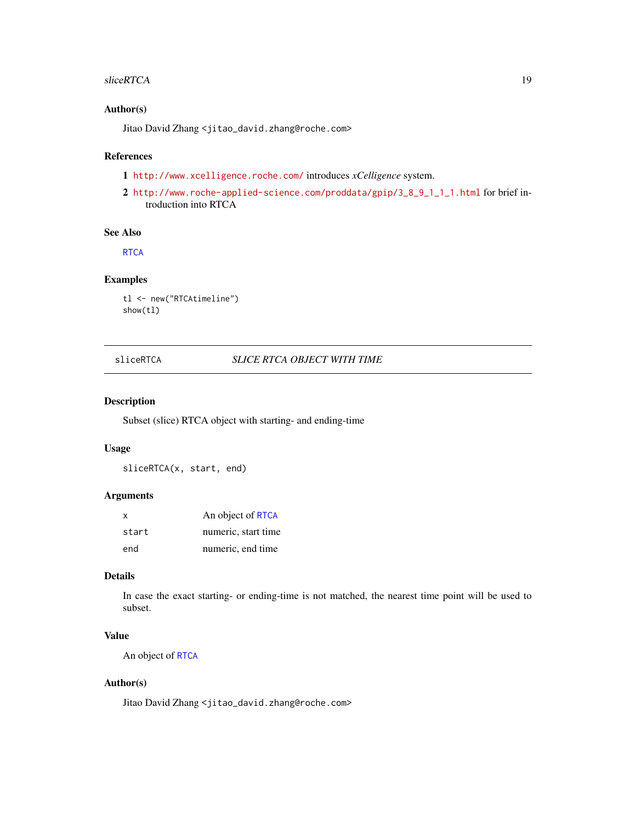#### <span id="page-18-0"></span>sliceRTCA 19

#### Author(s)

Jitao David Zhang <jitao\_david.zhang@roche.com>

## References

1 <http://www.xcelligence.roche.com/> introduces *xCelligence* system.

2 [http://www.roche-applied-science.com/proddata/gpip/3\\_8\\_9\\_1\\_1\\_1.html](http://www.roche-applied-science.com/proddata/gpip/3_8_9_1_1_1.html) for brief introduction into RTCA

#### See Also

**[RTCA](#page-15-1)** 

## Examples

```
tl <- new("RTCAtimeline")
show(tl)
```
## sliceRTCA *SLICE RTCA OBJECT WITH TIME*

## Description

Subset (slice) RTCA object with starting- and ending-time

#### Usage

sliceRTCA(x, start, end)

#### Arguments

| $\boldsymbol{\mathsf{x}}$ | An object of RTCA   |
|---------------------------|---------------------|
| start                     | numeric, start time |
| end                       | numeric, end time   |

## Details

In case the exact starting- or ending-time is not matched, the nearest time point will be used to subset.

## Value

An object of [RTCA](#page-15-1)

## Author(s)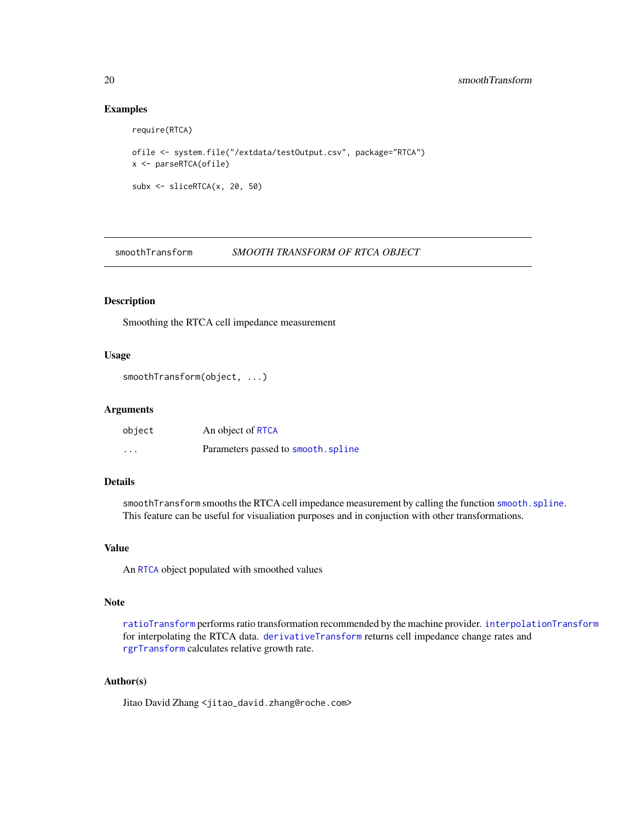## <span id="page-19-0"></span>Examples

```
require(RTCA)
ofile <- system.file("/extdata/testOutput.csv", package="RTCA")
x <- parseRTCA(ofile)
subx <- sliceRTCA(x, 20, 50)
```
<span id="page-19-1"></span>smoothTransform *SMOOTH TRANSFORM OF RTCA OBJECT*

#### Description

Smoothing the RTCA cell impedance measurement

#### Usage

```
smoothTransform(object, ...)
```
#### Arguments

| object                  | An object of RTCA                   |
|-------------------------|-------------------------------------|
| $\cdot$ $\cdot$ $\cdot$ | Parameters passed to smooth. spline |

## Details

smoothTransform smooths the RTCA cell impedance measurement by calling the function [smooth.spline](#page-0-0). This feature can be useful for visualiation purposes and in conjuction with other transformations.

## Value

An [RTCA](#page-15-1) object populated with smoothed values

#### Note

[ratioTransform](#page-13-1) performs ratio transformation recommended by the machine provider. [interpolationTransform](#page-7-1) for interpolating the RTCA data. [derivativeTransform](#page-5-1) returns cell impedance change rates and [rgrTransform](#page-14-1) calculates relative growth rate.

#### Author(s)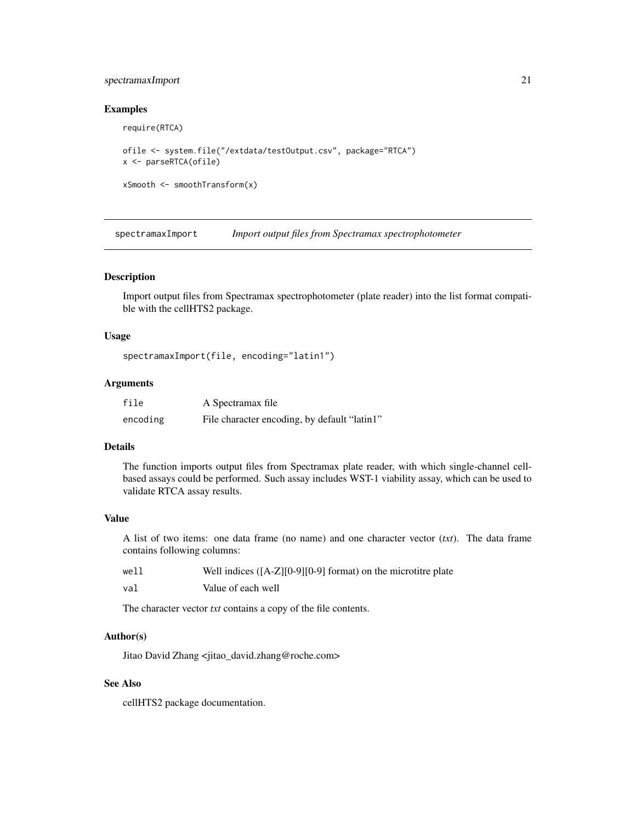## <span id="page-20-0"></span>spectramaxImport 21

#### Examples

```
require(RTCA)
ofile <- system.file("/extdata/testOutput.csv", package="RTCA")
x <- parseRTCA(ofile)
```

```
xSmooth <- smoothTransform(x)
```
spectramaxImport *Import output files from Spectramax spectrophotometer*

#### Description

Import output files from Spectramax spectrophotometer (plate reader) into the list format compatible with the cellHTS2 package.

## Usage

```
spectramaxImport(file, encoding="latin1")
```
#### Arguments

| file     | A Spectramax file                            |
|----------|----------------------------------------------|
| encoding | File character encoding, by default "latin1" |

## Details

The function imports output files from Spectramax plate reader, with which single-channel cellbased assays could be performed. Such assay includes WST-1 viability assay, which can be used to validate RTCA assay results.

#### Value

A list of two items: one data frame (no name) and one character vector (*txt*). The data frame contains following columns:

| well | Well indices $([A-Z][0-9][0-9]$ format) on the microtitre plate |
|------|-----------------------------------------------------------------|
| val  | Value of each well                                              |

The character vector *txt* contains a copy of the file contents.

## Author(s)

Jitao David Zhang <jitao\_david.zhang@roche.com>

## See Also

cellHTS2 package documentation.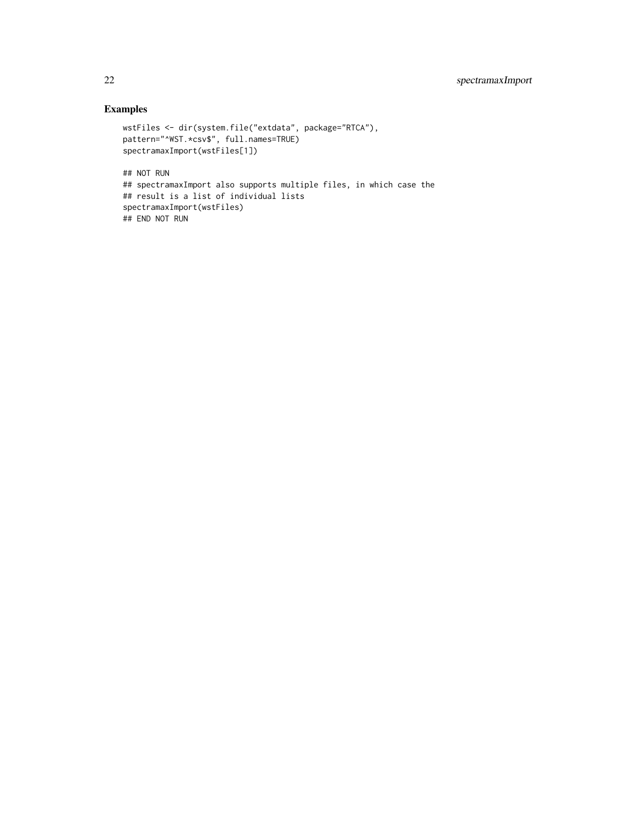## Examples

```
wstFiles <- dir(system.file("extdata", package="RTCA"),
pattern="^WST.*csv$", full.names=TRUE)
spectramaxImport(wstFiles[1])
## NOT RUN
## spectramaxImport also supports multiple files, in which case the
## result is a list of individual lists
spectramaxImport(wstFiles)
## END NOT RUN
```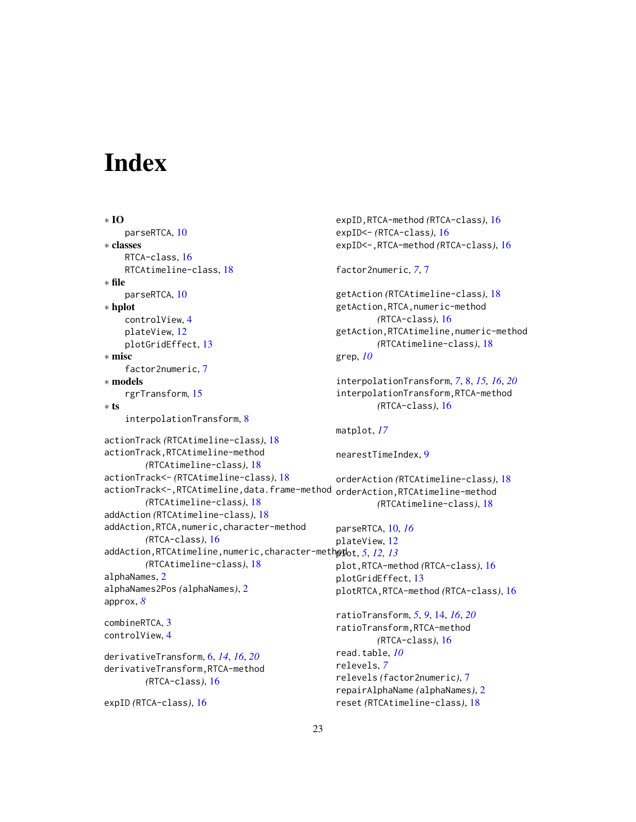# <span id="page-22-0"></span>**Index**

expID *(*RTCA-class*)*, [16](#page-15-0)

```
∗ IO
    parseRTCA, 10
∗ classes
    RTCA-class, 16
    RTCAtimeline-class, 18
∗ file
    parseRTCA, 10
∗ hplot
    controlView, 4
    plateView, 12
    plotGridEffect, 13
∗ misc
    factor2numeric, 7
∗ models
    rgrTransform, 15
∗ ts
    interpolationTransform, 8
actionTrack (RTCAtimeline-class), 18
actionTrack,RTCAtimeline-method
        (RTCAtimeline-class), 18
actionTrack<- (RTCAtimeline-class), 18
actionTrack<-,RTCAtimeline,data.frame-method
        (RTCAtimeline-class), 18
addAction (RTCAtimeline-class), 18
addAction,RTCA,numeric,character-method
        (RTCA-class), 16
addAction,RTCAtimeline,numeric,character-method
plot, 5, 12, 13
        (RTCAtimeline-class), 18
alphaNames, 2
alphaNames2Pos (alphaNames), 2
approx, 8
combineRTCA, 3
controlView, 4
derivativeTransform, 6, 14, 16, 20
derivativeTransform,RTCA-method
        (RTCA-class), 16
                                                expID,RTCA-method (RTCA-class), 16
                                                expID<- (RTCA-class), 16
                                                expID<-,RTCA-method (RTCA-class), 16
                                                factor2numeric, 7, 7
                                                getAction (RTCAtimeline-class), 18
                                                getAction,RTCA,numeric-method
                                                         (RTCA-class), 16
                                                getAction,RTCAtimeline,numeric-method
                                                         (RTCAtimeline-class), 18
                                                grep, 10
                                                interpolationTransform, 7, 8, 15, 16, 20
                                                interpolationTransform,RTCA-method
                                                         (RTCA-class), 16
                                                matplot, 17
                                                nearestTimeIndex, 9
                                                orderAction (RTCAtimeline-class), 18
                                                orderAction,RTCAtimeline-method
                                                         (RTCAtimeline-class), 18
                                                parseRTCA, 10, 16
                                                plateView, 12
                                                plot,RTCA-method (RTCA-class), 16
                                                plotGridEffect, 13
                                                plotRTCA,RTCA-method (RTCA-class), 16
                                                ratioTransform, 5, 9, 14, 16, 20
                                                ratioTransform,RTCA-method
                                                         (RTCA-class), 16
                                                read.table, 10
                                                relevels, 7
                                                relevels (factor2numeric), 7
                                                repairAlphaName (alphaNames), 2
```
reset *(*RTCAtimeline-class*)*, [18](#page-17-0)